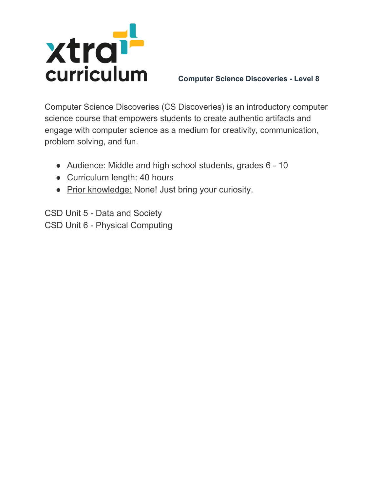

**Computer Science Discoveries - Level 8**

Computer Science Discoveries (CS Discoveries) is an introductory computer science course that empowers students to create authentic artifacts and engage with computer science as a medium for creativity, communication, problem solving, and fun.

- Audience: Middle and high school students, grades 6 10
- Curriculum length: 40 hours
- Prior knowledge: None! Just bring your curiosity.

CSD Unit 5 - Data and Society CSD Unit 6 - Physical Computing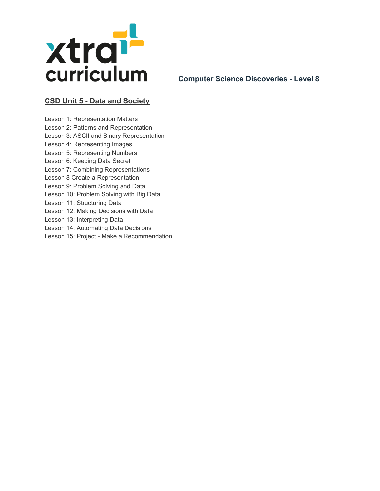

**Computer Science Discoveries - Level 8**

## **CSD Unit 5 - Data and Society**

Lesson 1: Representation Matters Lesson 2: Patterns and Representation Lesson 3: ASCII and Binary Representation Lesson 4: Representing Images Lesson 5: Representing Numbers Lesson 6: Keeping Data Secret Lesson 7: Combining Representations Lesson 8 Create a Representation Lesson 9: Problem Solving and Data Lesson 10: Problem Solving with Big Data Lesson 11: Structuring Data Lesson 12: Making Decisions with Data Lesson 13: Interpreting Data Lesson 14: Automating Data Decisions Lesson 15: Project - Make a Recommendation